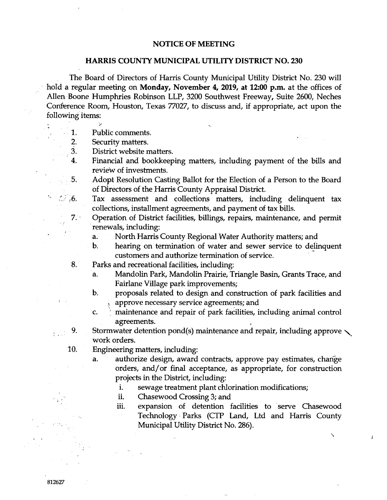## **NOTICE OF MEETING**

## **HARRIS COUNTY MUNICIPAL UTILITY DISTRICT NO. 230**

The Board of Directors of Harris County Municipal Utility District No. 230 will hold a regular meeting on **Monday, November 4, 2019, at 12:00 p.m.** at the offices of Allen Boene Humphries Robinson LLP, 3200 Southwest Freeway, Suite 2600, Neches Conference Room, Houston, Texas 77027, to discuss and, if appropriate, act upon the following items:

- 1. Public comments.
- 2. Security matters.

 $7.3$ 

 $\mathcal{L}_{\mathcal{L}}$  $\overline{6}$ .

9.

 $\sum_{i=1}^{n}$ 

- 3. District website matters.
- 4. Financial and bookkeeping matters, including payment of the bills and review of investments.
- 5. Adopt Resolution Casting Ballot for the Election of a Person to the Board of Directors of the Harris County Appraisal District.
	- Tax assessment and collections matters, including delinquent tax collections, installment agreements, and payment of tax bills.
	- Operation of District facilities, billings, repairs, maintenance, and permit renewals, including:
		- a. North Harris County Regional Water Authority matters; and
		- b. hearing on termination of water and sewer service to delinquent customers and authorize termination of service. <sup>~</sup>
- 8. Parks and recreational facilities, including:
	- a. Mandolin Park, Mandolin Prairie, Triangle Basin, Grants Trace, and Fairlane Village park improvements;
	- b. proposals related to design and construction of park facilities and approve necessary service agreements; and
	- c.  $\parallel$  maintenance and repair of park facilities, including animal control agreements.
	- Stormwater detention pond(s) maintenance and repair, including approve  $\diagdown$ work orders.
- 10. Engineering matters, including:
	- a. authorize design, award contracts, approve pay estimates, change orders, and/or final acceptance, as appropriate, for construction projects in the District, including:
		- i. sewage treatment plant chlorination modifications;
		- ii. Chasewood Crossing 3; and
		- iii. expansion of detention facilities to serve Chasewood Technology· Parks (CTP Land, Ltd and Harris County Municipal Utility District No. 286).

 $\boldsymbol{i}$